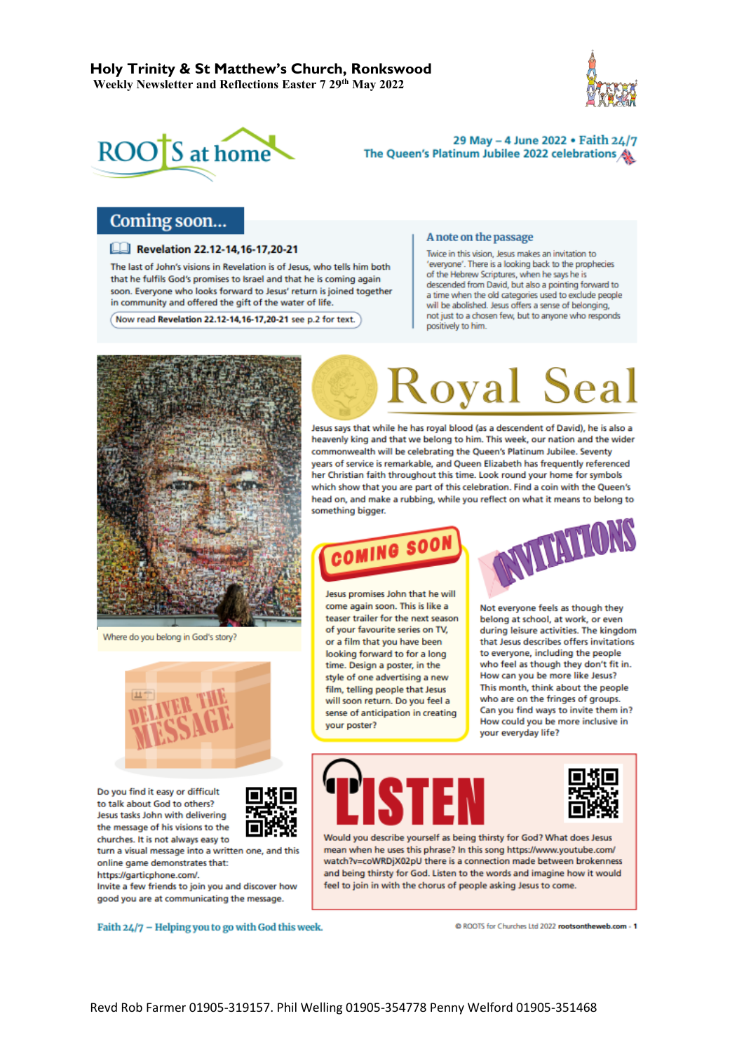



29 May - 4 June 2022 . Faith 24/7 The Queen's Platinum Jubilee 2022 celebrations

## Coming soon...

#### **Exp. 7.20-21** Revelation 22.12-14.16-17.20-21

The last of John's visions in Revelation is of Jesus, who tells him both that he fulfils God's promises to Israel and that he is coming again soon. Everyone who looks forward to Jesus' return is joined together in community and offered the gift of the water of life.

Now read Revelation 22.12-14,16-17,20-21 see p.2 for text.

#### A note on the passage

Twice in this vision, Jesus makes an invitation to 'everyone'. There is a looking back to the prophecies of the Hebrew Scriptures, when he says he is descended from David, but also a pointing forward to a time when the old categories used to exclude people will be abolished. Jesus offers a sense of belonging, not just to a chosen few, but to anyone who responds positively to him.



Where do you belong in God's story?



Do you find it easy or difficult to talk about God to others? Jesus tasks John with delivering the message of his visions to the churches. It is not always easy to



turn a visual message into a written one, and this online game demonstrates that:

https://garticphone.com/. Invite a few friends to join you and discover how

good you are at communicating the message.

Faith 24/7 - Helping you to go with God this week.

# **Koyal Seal**

Jesus says that while he has royal blood (as a descendent of David), he is also a heavenly king and that we belong to him. This week, our nation and the wider commonwealth will be celebrating the Queen's Platinum Jubilee. Seventy vears of service is remarkable, and Queen Elizabeth has frequently referenced her Christian faith throughout this time. Look round your home for symbols which show that you are part of this celebration. Find a coin with the Queen's head on, and make a rubbing, while you reflect on what it means to belong to something bigger.



Jesus promises John that he will come again soon. This is like a teaser trailer for the next season of your favourite series on TV, or a film that you have been looking forward to for a long time. Design a poster, in the style of one advertising a new film, telling people that Jesus will soon return. Do you feel a sense of anticipation in creating your poster?



Not everyone feels as though they belong at school, at work, or even during leisure activities. The kingdom that Jesus describes offers invitations to everyone, including the people who feel as though they don't fit in. How can you be more like Jesus? This month, think about the people who are on the fringes of groups. Can you find ways to invite them in? How could you be more inclusive in vour everyday life?





Would you describe yourself as being thirsty for God? What does Jesus mean when he uses this phrase? In this song https://www.youtube.com/ watch?v=coWRDjX02pU there is a connection made between brokenness and being thirsty for God. Listen to the words and imagine how it would feel to join in with the chorus of people asking Jesus to come.

© ROOTS for Churches Ltd 2022 rootsontheweb.com - 1